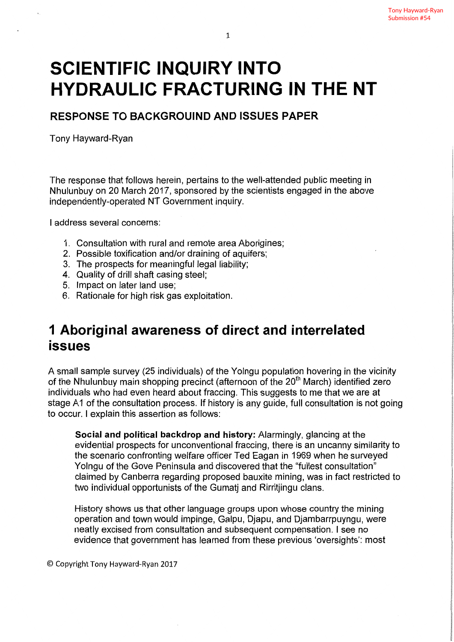# SCIENTIFIC INQUIRY INTO HYDRAULIC FRACTURING IN THE NT

RESPONSE TO BACKGROUIND AND ISSUES PAPER

Tony Hayward-Ryan

The response that follows herein, pertains to the well-attended public meeting in Nhulunbuy on 20 March 2017, sponsored by the scientists engaged in the above independently-operated NT Government inquiry.

I address several concerns;

- 1. Consultation with rural and remote area Aborigines;
- 2. Possible toxification and/or draining of aquifers;
- 3. The prospects for meaningful legal liability;
- 4. Quality of drill shaft casing steel;
- 5. Impact on later land use;
- 6. Rationale for high risk gas exploitation.

# 1 Aboriginal awareness of direct and interrelated issues

A small sample survey (25 individuals) of the Yolngu population hovering in the vicinity of the Nhulunbuy main shopping precinct (afternoon of the 20<sup>th</sup> March) identified zero individuals who had even heard about fraccing. This suggests to me that we are at stage A1 of the consultation process. If history is any guide, full consultation is not going to occur. I explain this assertion as follows:

Social and political backdrop and history: Alarmingly, glancing at the evidential prospects for unconventional fraccing, there is an uncanny similarity to the scenario confronting welfare officer Ted Eagan in 1969 when he surveyed Yolngu of the Gave Peninsula and discovered that the "fullest consultation" claimed by Canberra regarding proposed bauxite mining, was in fact restricted to two individual opportunists of the Gumatj and Rirritjingu clans.

History shows us that other language groups upon whose country the mining operation and town would impinge, Galpu, Djapu, and Djambarrpuyngu, were neatly excised from consultation and subsequent compensation. I see no evidence that government has learned from these previous 'oversights': most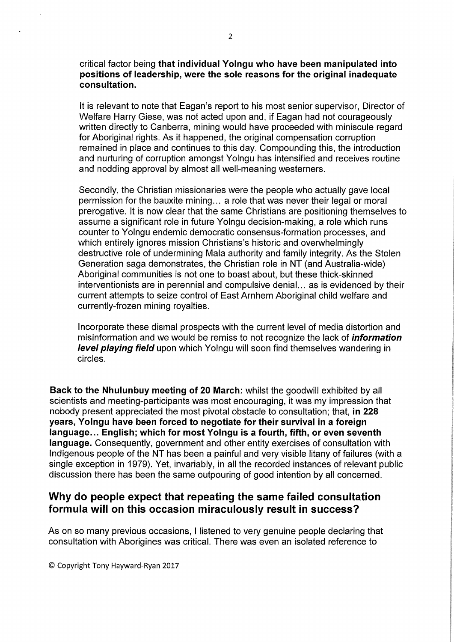critical factor being that individual Yolngu who have been manipulated into positions of leadership, were the sole reasons for the original inadequate consultation.

It is relevant to note that Eagan's report to his most senior supervisor, Director of Welfare Harry Giese, was not acted upon and, if Eagan had not courageously written directly to Canberra, mining would have proceeded with miniscule regard for Aboriginal rights. As it happened, the original compensation corruption remained in place and continues to this day. Compounding this, the introduction and nurturing of corruption amongst Yolngu has intensified and receives routine and nodding approval by almost all well-meaning westerners.

Secondly, the Christian missionaries were the people who actually gave local permission for the bauxite mining... a role that was never their legal or moral prerogative. It is now clear that the same Christians are positioning themselves to assume a significant role in future Yolngu decision-making, a role which runs counter to Yolngu endemic democratic consensus-formation processes, and which entirely ignores mission Christians's historic and overwhelmingly destructive role of undermining Mala authority and family integrity. As the Stolen Generation saga demonstrates, the Christian role in NT (and Australia-wide) Aboriginal communities is not one to boast about, but these thick-skinned interventionists are in perennial and compulsive denial... as is evidenced by their current attempts to seize control of East Arnhem Aboriginal child welfare and currently-frozen mining royalties.

Incorporate these dismal prospects with the current level of media distortion and misinformation and we would be remiss to not recognize the lack of *information* **level playing field** upon which Yolngu will soon find themselves wandering in circles.

Back to the Nhulunbuy meeting of 20 March: whilst the goodwill exhibited by all scientists and meeting-participants was most encouraging, it was my impression that nobody present appreciated the most pivotal obstacle to consultation; that, in 228 years, Yolngu have been forced to negotiate for their survival in a foreign language... English; which for most Yolngu is a fourth, fifth, or even seventh language. Consequently, government and other entity exercises of consultation with Indigenous people of the NT has been a painful and very visible litany of failures (with a single exception in 1979). Yet, invariably, in all the recorded instances of relevant public discussion there has been the same outpouring of good intention by all concerned.

#### Why do people expect that repeating the same failed consultation formula will on this occasion miraculously result in success?

As on so many previous occasions, I listened to very genuine people declaring that consultation with Aborigines was critical. There was even an isolated reference to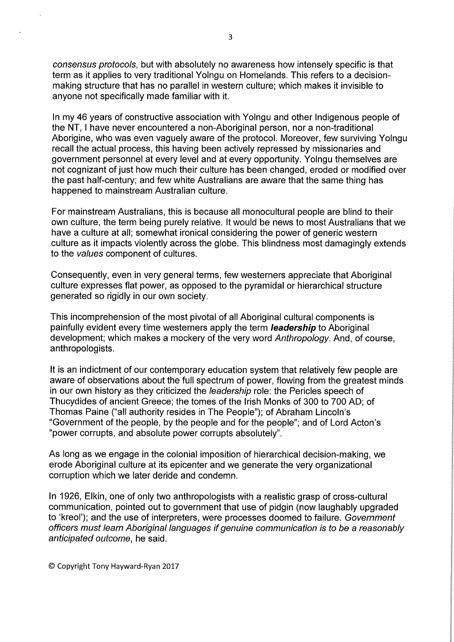consensus protocols, but with absolutely no awareness how intensely specific is that term as it applies to very traditional Yolngu on Homelands. This refers to a decisionmaking structure that has no parallel in western culture; which makes it invisible to anyone not specifically made familiar with it.

In my 46 years of constructive association with Yolngu and other Indigenous people of the NT, I have never encountered a non-Aboriginal person, nor a non-traditional Aborigine, who was even vaguely aware of the protocol. Moreover, few surviving Yolngu recall the actual process, this having been actively repressed by missionaries and government personnel at every level and at every opportunity. Yolngu themselves are not cognizant of just how much their culture has been changed, eroded or modified over the past half-century; and few white Australians are aware that the same thing has happened to mainstream Australian culture.

For mainstream Australians, this is because all monocultural people are blind to their own culture, the term being purely relative. It would be news to most Australians that we have a culture at all; somewhat ironical considering the power of generic western culture as it impacts violently across the globe. This blindness most damagingly extends to the values component of cultures.

Consequently, even in very general terms, few westerners appreciate that Aboriginal culture expresses flat power, as opposed to the pyramidal or hierarchical structure generated so rigidly in our own society.

This incomprehension of the most pivotal of all Aboriginal cultural components is painfully evident every time westerners apply the term **leadership** to Aboriginal development; which makes a mockery of the very word Anthropology. And, of course, anthropologists.

It is an indictment of our contemporary education system that relatively few people are aware of observations about the full spectrum of power, flowing from the greatest minds in our own history as they criticized the leadership role: the Pericles speech of Thucydides of ancient Greece; the tomes of the Irish Monks of 300 to 700 AD; of Thomas Paine ("all authority resides in The People"); of Abraham Lincoln's "Government of the people, by the people and for the people"; and of Lord Acton's "power corrupts, and absolute power corrupts absolutely".

As long as we engage in the colonial imposition of hierarchical decision-making, we erode Aboriginal culture at its epicenter and we generate the very organizational corruption which we later deride and condemn.

In 1926, Elkin, one of only two anthropologists with a realistic grasp of cross-cultural communication, pointed out to government that use of pidgin (now laughably upgraded to 'kreol'); and the use of interpreters, were processes doomed to failure. Government officers must learn Aboriginal languages if genuine communication is to be a reasonably anticipated outcome, he said.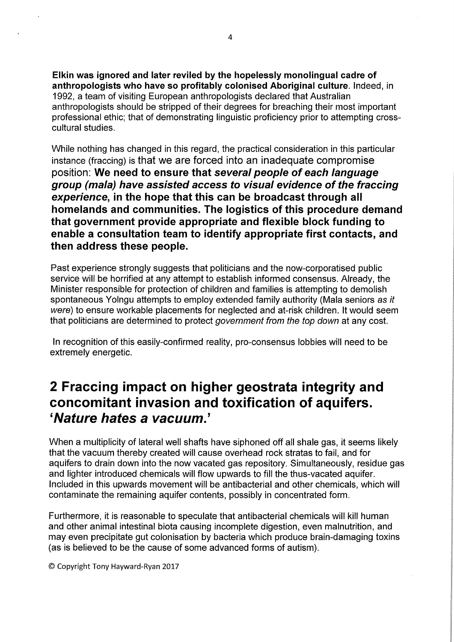Elkin was ignored and later reviled by the hopelessly monolingual cadre of anthropologists who have so profitably colonised Aboriginal culture. Indeed, in 1992, a team of visiting European anthropologists declared that Australian anthropologists should be stripped of their degrees for breaching their most important professional ethic; that of demonstrating linguistic proficiency prior to attempting crosscultural studies.

While nothing has changed in this regard, the practical consideration in this particular instance (fraccing) is that we are forced into an inadequate compromise position: We need to ensure that several people of each language group (mala) have assisted access to visual evidence of the fraccing experience, in the hope that this can be broadcast through all homelands and communities. The logistics of this procedure demand that government provide appropriate and flexible block funding to enable a consultation team to identify appropriate first contacts, and then address these people.

Past experience strongly suggests that politicians and the now-corporatised public service will be horrified at any attempt to establish informed consensus. Already, the Minister responsible for protection of children and families is attempting to demolish spontaneous Yolngu attempts to employ extended family authority (Mala seniors as it were) to ensure workable placements for neglected and at-risk children. It would seem that politicians are determined to protect government from the top down at any cost.

In recognition of this easily-confirmed reality, pro-consensus lobbies will need to be extremely energetic.

### 2 Fraccing impact on higher geostrata integrity and concomitant invasion and toxification of aquifers. 'Nature hates a vacuum.'

When a multiplicity of lateral well shafts have siphoned off all shale gas, it seems likely that the vacuum thereby created will cause overhead rock stratas to fail, and for aquifers to drain down into the now vacated gas repository. Simultaneously, residue gas and lighter introduced chemicals will flow upwards to fill the thus-vacated aquifer. Included in this upwards movement will be antibacterial and other chemicals, which will contaminate the remaining aquifer contents, possibly in concentrated form.

Furthermore, it is reasonable to speculate that antibacterial chemicals will kill human and other animal intestinal biota causing incomplete digestion, even malnutrition, and may even precipitate gut colonisation by bacteria which produce brain-damaging toxins (as is believed to be the cause of some advanced forms of autism).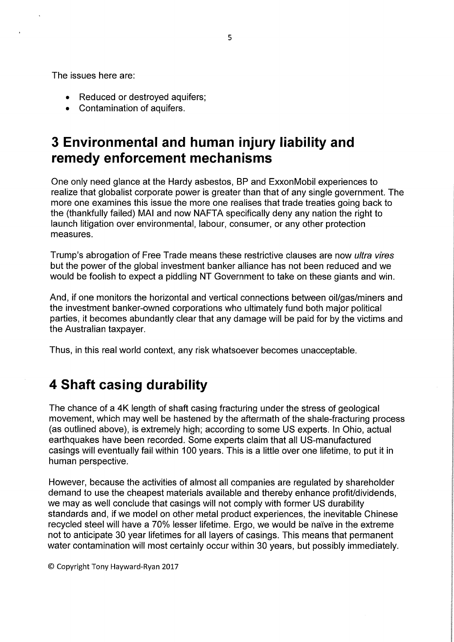The issues here are;

- Reduced or destroyed aquifers;
- Contamination of aquifers.

# 3 Environmental and human injury liability and remedy enforcement mechanisms

One only need glance at the Hardy asbestos, BP and ExxonMobil experiences to realize that globalist corporate power is greater than that of any single government. The more one examines this issue the more one realises that trade treaties going back to the (thankfully failed) MAI and now NAFTA specifically deny any nation the right to launch litigation over environmental, labour, consumer, or any other protection measures.

Trump's abrogation of Free Trade means these restrictive clauses are now ultra vires but the power of the global investment banker alliance has not been reduced and we would be foolish to expect a piddling NT Government to take on these giants and win.

And, if one monitors the horizontal and vertical connections between oil/gas/miners and the investment banker-owned corporations who ultimately fund both major political parties, it becomes abundantly clear that any damage will be paid for by the victims and the Australian taxpayer.

Thus, in this real world context, any risk whatsoever becomes unacceptable.

# 4 Shaft casing durability

The chance of a 4K length of shaft casing fracturing under the stress of geological movement, which may well be hastened by the aftermath of the shale-fracturing process (as outlined above), is extremely high; according to some US experts. In Ohio, actual earthquakes have been recorded. Some experts claim that all US-manufactured casings will eventually fail within 100 years. This is a little over one lifetime, to put it in human perspective.

However, because the activities of almost all companies are regulated by shareholder demand to use the cheapest materials available and thereby enhance profit/dividends, we may as well conclude that casings will not comply with former US durability standards and, if we model on other metal product experiences, the inevitable Chinese recycled steel will have a 70% lesser lifetime. Ergo, we would be naive in the extreme not to anticipate 30 year lifetimes for all layers of casings. This means that permanent water contamination will most certainly occur within 30 years, but possibly immediately.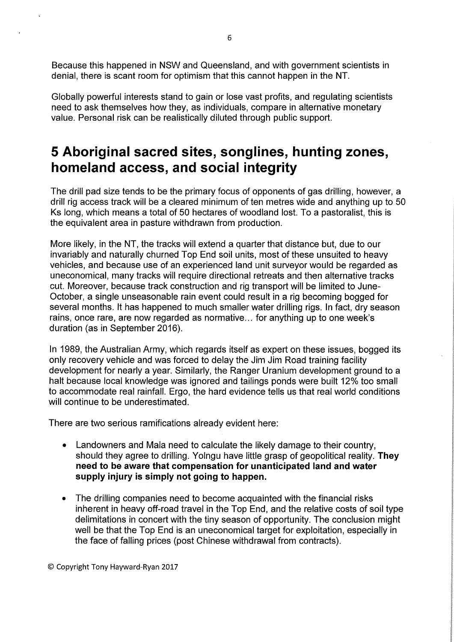Because this happened in NSW and Queensland, and with government scientists in denial, there is scant room for optimism that this cannot happen in the NT.

Globally powerful interests stand to gain or lose vast profits, and regulating scientists need to ask themselves how they, as individuals, compare in alternative monetary value. Personal risk can be realistically diluted through public support.

### 5 Aboriginal sacred sites, songlines, hunting zones, homeland access, and social integrity

The drill pad size tends to be the primary focus of opponents of gas drilling, however, a drill rig access track will be a cleared minimum of ten metres wide and anything up to 50 Ks long, which means a total of 50 hectares of woodland lost. To a pastoralist, this is the equivalent area in pasture withdrawn from production.

More likely, in the NT, the tracks will extend a quarter that distance but, due to our invariably and naturally churned Top End soil units, most of these unsuited to heavy vehicles, and because use of an experienced land unit surveyor would be regarded as uneconomical, many tracks will require directional retreats and then alternative tracks cut. Moreover, because track construction and rig transport will be limited to June-October, a single unseasonable rain event could result in a rig becoming bogged for several months. It has happened to much smaller water drilling rigs. In fact, dry season rains, once rare, are now regarded as normative... for anything up to one week's duration (as in September 2016).

In 1989, the Australian Army, which regards itself as expert on these issues, bogged its only recovery vehicle and was forced to delay the Jim Jim Road training facility development for nearly a year. Similarly, the Ranger Uranium development ground to a halt because local knowledge was ignored and tailings ponds were built 12% too small to accommodate real rainfall. Ergo, the hard evidence tells us that real world conditions will continue to be underestimated.

There are two serious ramifications already evident here:

- Landowners and Mala need to calculate the likely damage to their country, should they agree to drilling. Yolngu have little grasp of geopolitical reality. They need to be aware that compensation for unanticipated land and water supply injury is simply not going to happen.
- The drilling companies need to become acquainted with the financial risks inherent in heavy off-road travel in the Top End, and the relative costs of soil type delimitations in concert with the tiny season of opportunity. The conclusion might well be that the Top End is an uneconomical target for exploitation, especially in the face of falling prices (post Chinese withdrawal from contracts).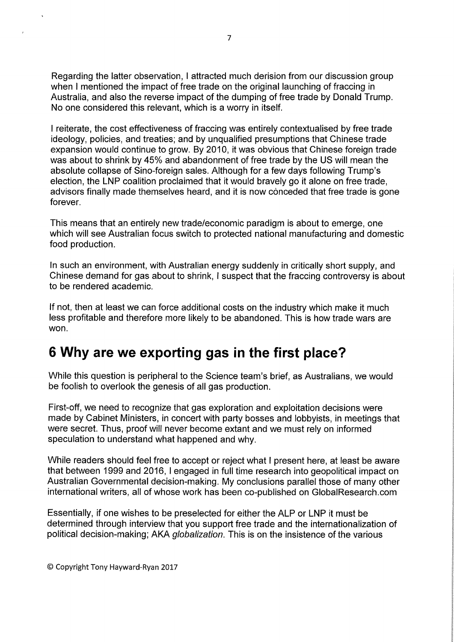Regarding the latter observation, I attracted much derision from our discussion group when I mentioned the impact of free trade on the original launching of fraccing in Australia, and also the reverse impact of the dumping of free trade by Donald Trump. No one considered this relevant, which is a worry in itself.

I reiterate, the cost effectiveness of fraccing was entirely contextualised by free trade ideology, policies, and treaties; and by unqualified presumptions that Chinese trade expansion would continue to grow. By 2010, it was obvious that Chinese foreign trade was about to shrink by 45% and abandonment of free trade by the US will mean the absolute collapse of Sino-foreign sales. Although for a few days following Trump's election, the LNP coalition proclaimed that it would bravely go it alone on free trade, advisors finally made themselves heard, and it is now conceded that free trade is gone forever.

This means that an entirely new trade/economic paradigm is about to emerge, one which will see Australian focus switch to protected national manufacturing and domestic food production.

In such an environment, with Australian energy suddenly in critically short supply, and Chinese demand for gas about to shrink, I suspect that the fraccing controversy is about to be rendered academic.

If not, then at least we can force additional costs on the industry which make it much less profitable and therefore more likely to be abandoned. This is how trade wars are won.

# 6 Why are we exporting gas in the first place?

While this question is peripheral to the Science team's brief, as Australians, we would be foolish to overlook the genesis of all gas production.

First-off, we need to recognize that gas exploration and exploitation decisions were made by Cabinet Ministers, in concert with party bosses and lobbyists, in meetings that were secret. Thus, proof will never become extant and we must rely on informed speculation to understand what happened and why.

While readers should feel free to accept or reject what I present here, at least be aware that between 1999 and 2016, I engaged in full time research into geopolitical impact on Australian Governmental decision-making. My conclusions parallel those of many other international writers, all of whose work has been co-published on GlobalResearch.com

Essentially, if one wishes to be preselected for either the ALP or LNP it must be determined through interview that you support free trade and the internationalization of political decision-making; AKA *globalization*. This is on the insistence of the various